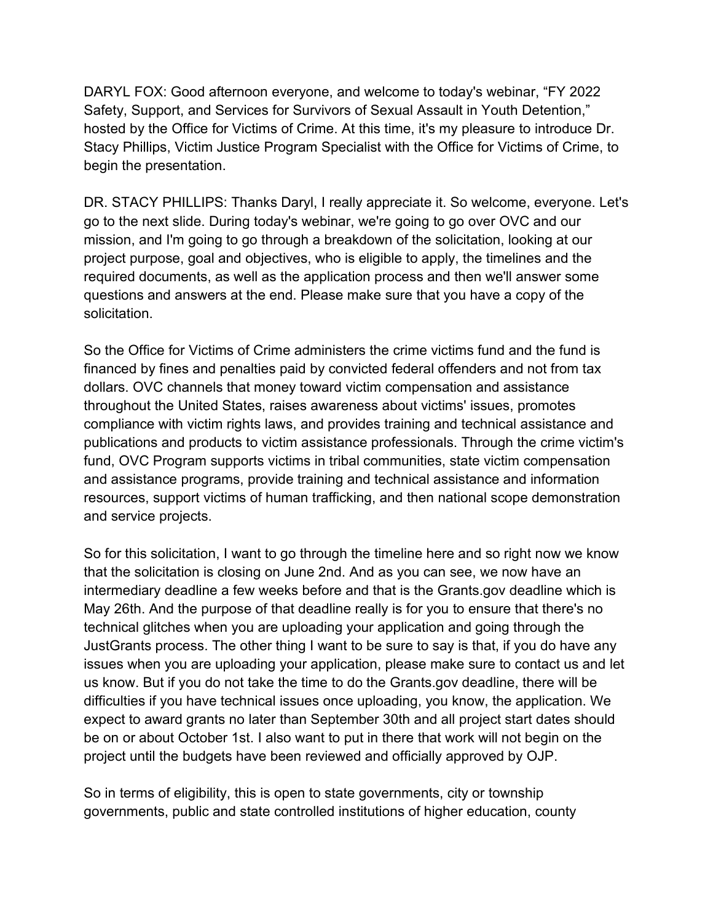DARYL FOX: Good afternoon everyone, and welcome to today's webinar, "FY 2022 Safety, Support, and Services for Survivors of Sexual Assault in Youth Detention," hosted by the Office for Victims of Crime. At this time, it's my pleasure to introduce Dr. Stacy Phillips, Victim Justice Program Specialist with the Office for Victims of Crime, to begin the presentation.

 required documents, as well as the application process and then we'll answer some questions and answers at the end. Please make sure that you have a copy of the solicitation. DR. STACY PHILLIPS: Thanks Daryl, I really appreciate it. So welcome, everyone. Let's go to the next slide. During today's webinar, we're going to go over OVC and our mission, and I'm going to go through a breakdown of the solicitation, looking at our project purpose, goal and objectives, who is eligible to apply, the timelines and the

 financed by fines and penalties paid by convicted federal offenders and not from tax and service projects. So the Office for Victims of Crime administers the crime victims fund and the fund is dollars. OVC channels that money toward victim compensation and assistance throughout the United States, raises awareness about victims' issues, promotes compliance with victim rights laws, and provides training and technical assistance and publications and products to victim assistance professionals. Through the crime victim's fund, OVC Program supports victims in tribal communities, state victim compensation and assistance programs, provide training and technical assistance and information resources, support victims of human trafficking, and then national scope demonstration

and service projects.<br>So for this solicitation, I want to go through the timeline here and so right now we know issues when you are uploading your application, please make sure to contact us and let be on or about October 1st. I also want to put in there that work will not begin on the project until the budgets have been reviewed and officially approved by OJP. that the solicitation is closing on June 2nd. And as you can see, we now have an intermediary deadline a few weeks before and that is the [Grants.gov](https://Grants.gov) deadline which is May 26th. And the purpose of that deadline really is for you to ensure that there's no technical glitches when you are uploading your application and going through the JustGrants process. The other thing I want to be sure to say is that, if you do have any us know. But if you do not take the time to do the [Grants.gov](https://Grants.gov) deadline, there will be difficulties if you have technical issues once uploading, you know, the application. We expect to award grants no later than September 30th and all project start dates should

project until the budgets have been reviewed and officially approved by OJP.<br>So in terms of eligibility, this is open to state governments, city or township governments, public and state controlled institutions of higher education, county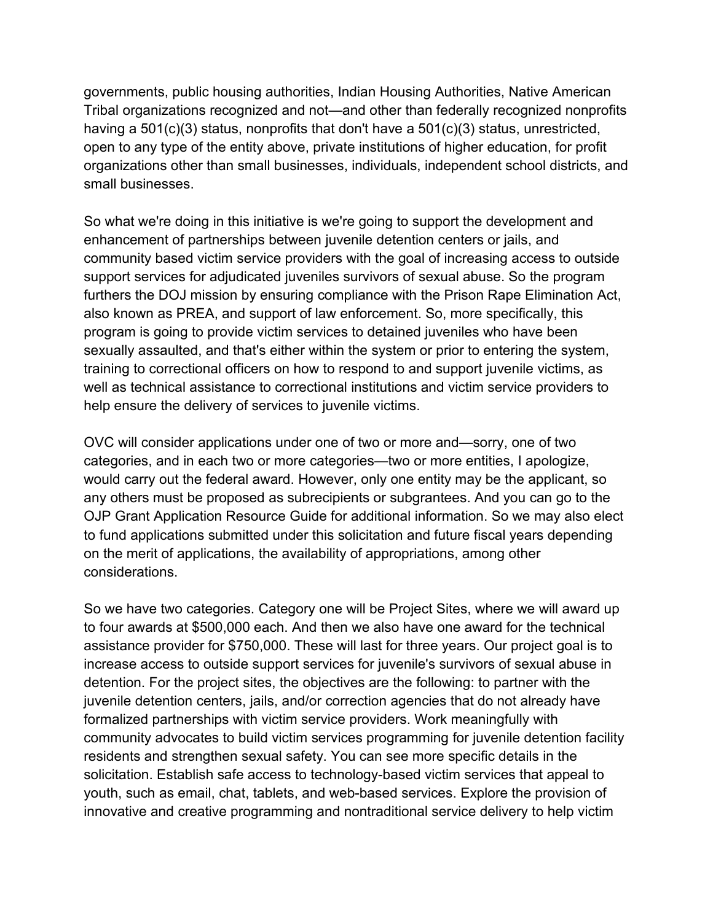open to any type of the entity above, private institutions of higher education, for profit organizations other than small businesses, individuals, independent school districts, and small businesses. governments, public housing authorities, Indian Housing Authorities, Native American Tribal organizations recognized and not—and other than federally recognized nonprofits having a 501(c)(3) status, nonprofits that don't have a 501(c)(3) status, unrestricted,

 enhancement of partnerships between juvenile detention centers or jails, and also known as PREA, and support of law enforcement. So, more specifically, this program is going to provide victim services to detained juveniles who have been help ensure the delivery of services to juvenile victims. So what we're doing in this initiative is we're going to support the development and community based victim service providers with the goal of increasing access to outside support services for adjudicated juveniles survivors of sexual abuse. So the program furthers the DOJ mission by ensuring compliance with the Prison Rape Elimination Act, sexually assaulted, and that's either within the system or prior to entering the system, training to correctional officers on how to respond to and support juvenile victims, as well as technical assistance to correctional institutions and victim service providers to

 categories, and in each two or more categories—two or more entities, I apologize, would carry out the federal award. However, only one entity may be the applicant, so considerations. OVC will consider applications under one of two or more and—sorry, one of two any others must be proposed as subrecipients or subgrantees. And you can go to the OJP Grant Application Resource Guide for additional information. So we may also elect to fund applications submitted under this solicitation and future fiscal years depending on the merit of applications, the availability of appropriations, among other

 to four awards at \$500,000 each. And then we also have one award for the technical So we have two categories. Category one will be Project Sites, where we will award up assistance provider for \$750,000. These will last for three years. Our project goal is to increase access to outside support services for juvenile's survivors of sexual abuse in detention. For the project sites, the objectives are the following: to partner with the juvenile detention centers, jails, and/or correction agencies that do not already have formalized partnerships with victim service providers. Work meaningfully with community advocates to build victim services programming for juvenile detention facility residents and strengthen sexual safety. You can see more specific details in the solicitation. Establish safe access to technology-based victim services that appeal to youth, such as email, chat, tablets, and web-based services. Explore the provision of innovative and creative programming and nontraditional service delivery to help victim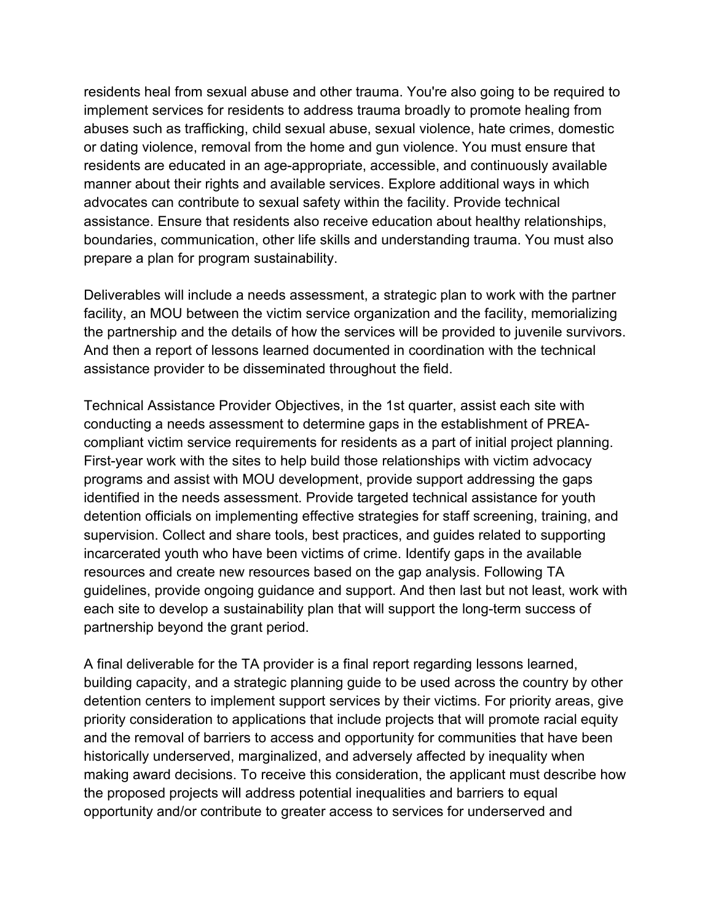abuses such as trafficking, child sexual abuse, sexual violence, hate crimes, domestic residents are educated in an age-appropriate, accessible, and continuously available prepare a plan for program sustainability. residents heal from sexual abuse and other trauma. You're also going to be required to implement services for residents to address trauma broadly to promote healing from or dating violence, removal from the home and gun violence. You must ensure that manner about their rights and available services. Explore additional ways in which advocates can contribute to sexual safety within the facility. Provide technical assistance. Ensure that residents also receive education about healthy relationships, boundaries, communication, other life skills and understanding trauma. You must also

assistance provider to be disseminated throughout the field. Deliverables will include a needs assessment, a strategic plan to work with the partner facility, an MOU between the victim service organization and the facility, memorializing the partnership and the details of how the services will be provided to juvenile survivors. And then a report of lessons learned documented in coordination with the technical

assistance provider to be disseminated throughout the field.<br>Technical Assistance Provider Objectives, in the 1st quarter, assist each site with compliant victim service requirements for residents as a part of initial project planning. detention officials on implementing effective strategies for staff screening, training, and incarcerated youth who have been victims of crime. Identify gaps in the available partnership beyond the grant period. conducting a needs assessment to determine gaps in the establishment of PREA-First-year work with the sites to help build those relationships with victim advocacy programs and assist with MOU development, provide support addressing the gaps identified in the needs assessment. Provide targeted technical assistance for youth supervision. Collect and share tools, best practices, and guides related to supporting resources and create new resources based on the gap analysis. Following TA guidelines, provide ongoing guidance and support. And then last but not least, work with each site to develop a sustainability plan that will support the long-term success of

 building capacity, and a strategic planning guide to be used across the country by other detention centers to implement support services by their victims. For priority areas, give making award decisions. To receive this consideration, the applicant must describe how the proposed projects will address potential inequalities and barriers to equal A final deliverable for the TA provider is a final report regarding lessons learned, priority consideration to applications that include projects that will promote racial equity and the removal of barriers to access and opportunity for communities that have been historically underserved, marginalized, and adversely affected by inequality when opportunity and/or contribute to greater access to services for underserved and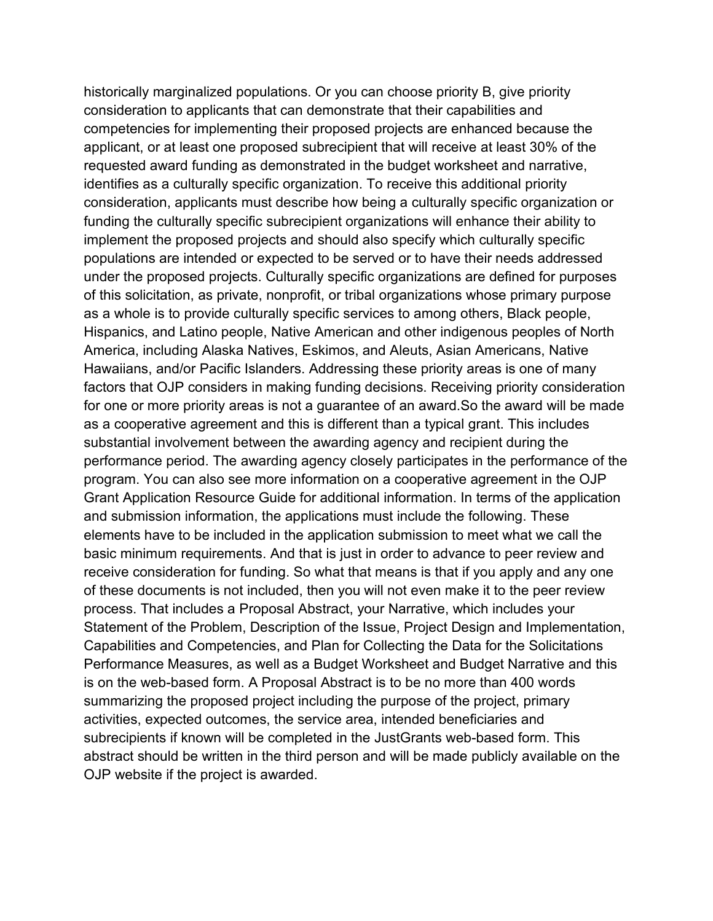applicant, or at least one proposed subrecipient that will receive at least 30% of the for one or more priority areas is not a guarantee of an [award.So](https://award.So) the award will be made basic minimum requirements. And that is just in order to advance to peer review and receive consideration for funding. So what that means is that if you apply and any one of these documents is not included, then you will not even make it to the peer review Performance Measures, as well as a Budget Worksheet and Budget Narrative and this is on the web-based form. A Proposal Abstract is to be no more than 400 words summarizing the proposed project including the purpose of the project, primary OJP website if the project is awarded. historically marginalized populations. Or you can choose priority B, give priority consideration to applicants that can demonstrate that their capabilities and competencies for implementing their proposed projects are enhanced because the requested award funding as demonstrated in the budget worksheet and narrative, identifies as a culturally specific organization. To receive this additional priority consideration, applicants must describe how being a culturally specific organization or funding the culturally specific subrecipient organizations will enhance their ability to implement the proposed projects and should also specify which culturally specific populations are intended or expected to be served or to have their needs addressed under the proposed projects. Culturally specific organizations are defined for purposes of this solicitation, as private, nonprofit, or tribal organizations whose primary purpose as a whole is to provide culturally specific services to among others, Black people, Hispanics, and Latino people, Native American and other indigenous peoples of North America, including Alaska Natives, Eskimos, and Aleuts, Asian Americans, Native Hawaiians, and/or Pacific Islanders. Addressing these priority areas is one of many factors that OJP considers in making funding decisions. Receiving priority consideration as a cooperative agreement and this is different than a typical grant. This includes substantial involvement between the awarding agency and recipient during the performance period. The awarding agency closely participates in the performance of the program. You can also see more information on a cooperative agreement in the OJP Grant Application Resource Guide for additional information. In terms of the application and submission information, the applications must include the following. These elements have to be included in the application submission to meet what we call the process. That includes a Proposal Abstract, your Narrative, which includes your Statement of the Problem, Description of the Issue, Project Design and Implementation, Capabilities and Competencies, and Plan for Collecting the Data for the Solicitations activities, expected outcomes, the service area, intended beneficiaries and subrecipients if known will be completed in the JustGrants web-based form. This abstract should be written in the third person and will be made publicly available on the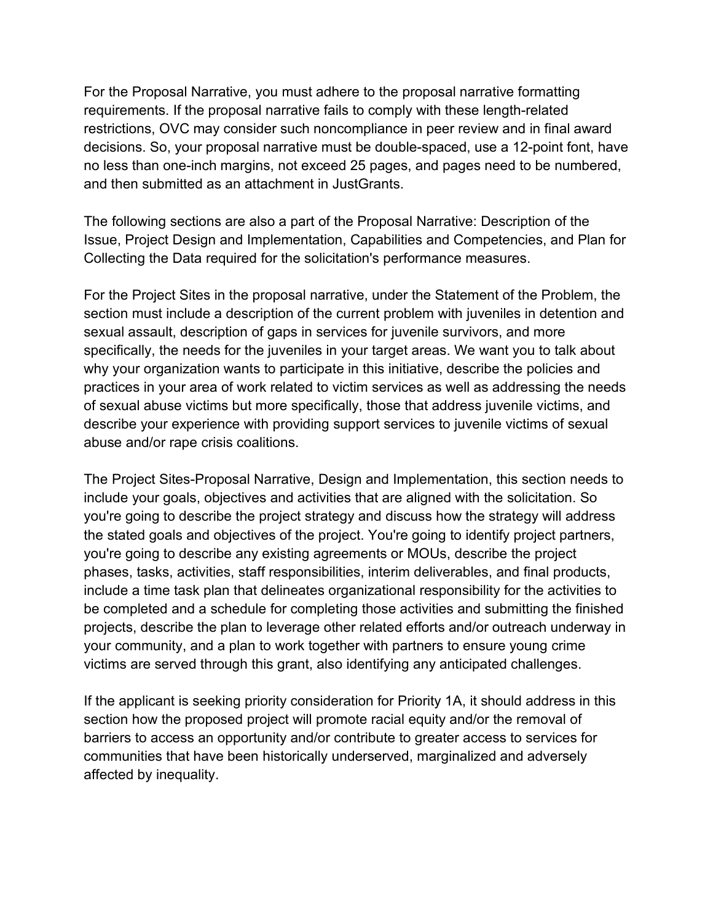and then submitted as an attachment in JustGrants. For the Proposal Narrative, you must adhere to the proposal narrative formatting requirements. If the proposal narrative fails to comply with these length-related restrictions, OVC may consider such noncompliance in peer review and in final award decisions. So, your proposal narrative must be double-spaced, use a 12-point font, have no less than one-inch margins, not exceed 25 pages, and pages need to be numbered,

Collecting the Data required for the solicitation's performance measures. The following sections are also a part of the Proposal Narrative: Description of the Issue, Project Design and Implementation, Capabilities and Competencies, and Plan for

abuse and/or rape crisis coalitions. For the Project Sites in the proposal narrative, under the Statement of the Problem, the section must include a description of the current problem with juveniles in detention and sexual assault, description of gaps in services for juvenile survivors, and more specifically, the needs for the juveniles in your target areas. We want you to talk about why your organization wants to participate in this initiative, describe the policies and practices in your area of work related to victim services as well as addressing the needs of sexual abuse victims but more specifically, those that address juvenile victims, and describe your experience with providing support services to juvenile victims of sexual

abuse and/or rape crisis coalitions.<br>The Project Sites-Proposal Narrative, Design and Implementation, this section needs to include your goals, objectives and activities that are aligned with the solicitation. So include a time task plan that delineates organizational responsibility for the activities to victims are served through this grant, also identifying any anticipated challenges. you're going to describe the project strategy and discuss how the strategy will address the stated goals and objectives of the project. You're going to identify project partners, you're going to describe any existing agreements or MOUs, describe the project phases, tasks, activities, staff responsibilities, interim deliverables, and final products, be completed and a schedule for completing those activities and submitting the finished projects, describe the plan to leverage other related efforts and/or outreach underway in your community, and a plan to work together with partners to ensure young crime

 barriers to access an opportunity and/or contribute to greater access to services for affected by inequality. If the applicant is seeking priority consideration for Priority 1A, it should address in this section how the proposed project will promote racial equity and/or the removal of communities that have been historically underserved, marginalized and adversely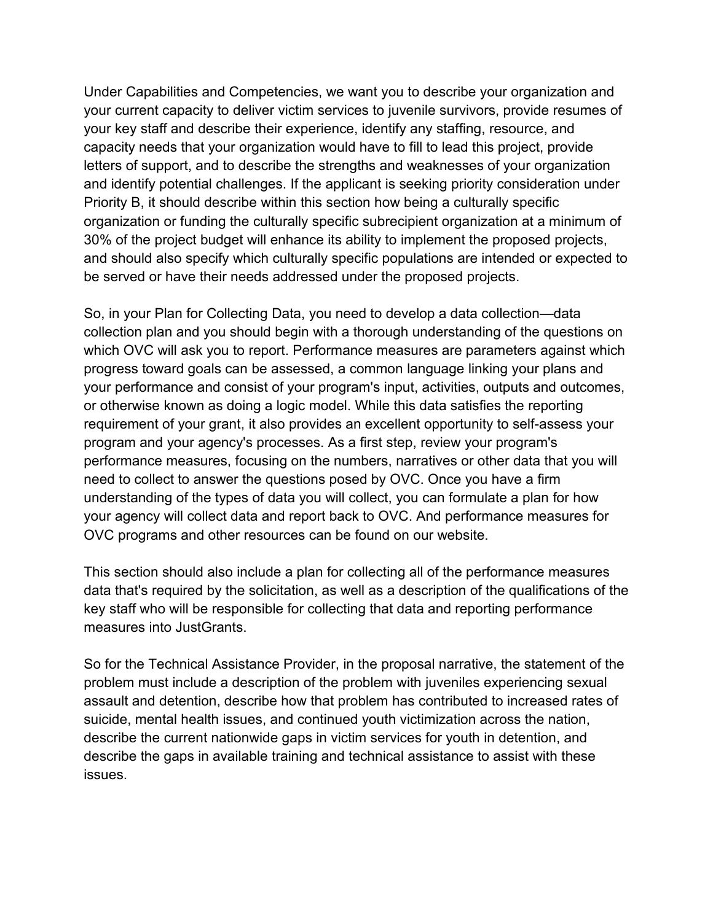your key staff and describe their experience, identify any staffing, resource, and capacity needs that your organization would have to fill to lead this project, provide be served or have their needs addressed under the proposed projects. Under Capabilities and Competencies, we want you to describe your organization and your current capacity to deliver victim services to juvenile survivors, provide resumes of letters of support, and to describe the strengths and weaknesses of your organization and identify potential challenges. If the applicant is seeking priority consideration under Priority B, it should describe within this section how being a culturally specific organization or funding the culturally specific subrecipient organization at a minimum of 30% of the project budget will enhance its ability to implement the proposed projects, and should also specify which culturally specific populations are intended or expected to

OVC programs and other resources can be found on our website. So, in your Plan for Collecting Data, you need to develop a data collection—data collection plan and you should begin with a thorough understanding of the questions on which OVC will ask you to report. Performance measures are parameters against which progress toward goals can be assessed, a common language linking your plans and your performance and consist of your program's input, activities, outputs and outcomes, or otherwise known as doing a logic model. While this data satisfies the reporting requirement of your grant, it also provides an excellent opportunity to self-assess your program and your agency's processes. As a first step, review your program's performance measures, focusing on the numbers, narratives or other data that you will need to collect to answer the questions posed by OVC. Once you have a firm understanding of the types of data you will collect, you can formulate a plan for how your agency will collect data and report back to OVC. And performance measures for

measures into JustGrants. This section should also include a plan for collecting all of the performance measures data that's required by the solicitation, as well as a description of the qualifications of the key staff who will be responsible for collecting that data and reporting performance

 assault and detention, describe how that problem has contributed to increased rates of suicide, mental health issues, and continued youth victimization across the nation, issues. So for the Technical Assistance Provider, in the proposal narrative, the statement of the problem must include a description of the problem with juveniles experiencing sexual describe the current nationwide gaps in victim services for youth in detention, and describe the gaps in available training and technical assistance to assist with these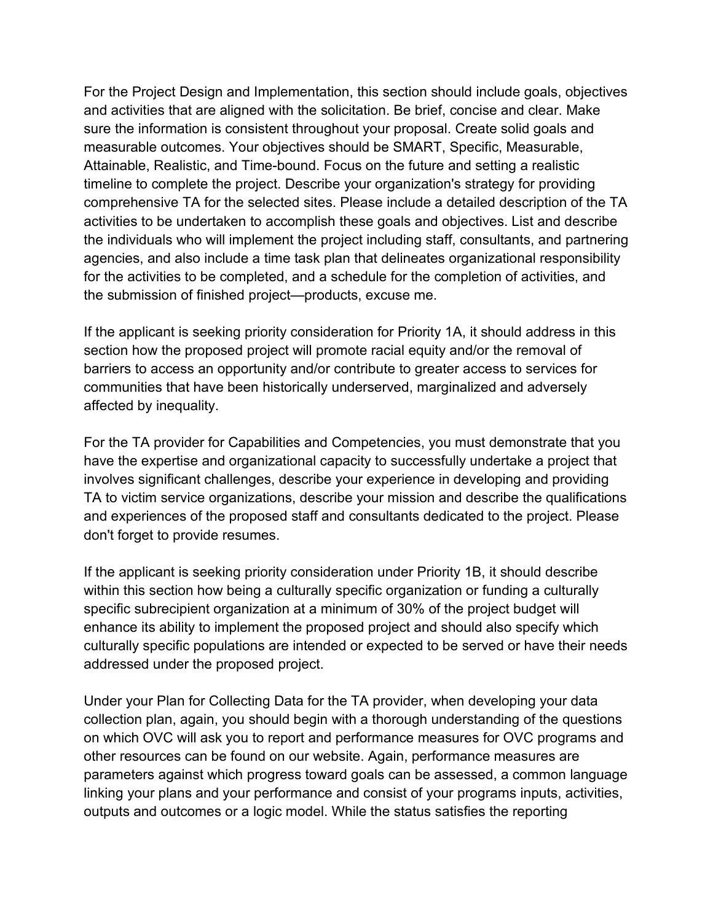For the Project Design and Implementation, this section should include goals, objectives Attainable, Realistic, and Time-bound. Focus on the future and setting a realistic comprehensive TA for the selected sites. Please include a detailed description of the TA for the activities to be completed, and a schedule for the completion of activities, and the submission of finished project—products, excuse me. and activities that are aligned with the solicitation. Be brief, concise and clear. Make sure the information is consistent throughout your proposal. Create solid goals and measurable outcomes. Your objectives should be SMART, Specific, Measurable, timeline to complete the project. Describe your organization's strategy for providing activities to be undertaken to accomplish these goals and objectives. List and describe the individuals who will implement the project including staff, consultants, and partnering agencies, and also include a time task plan that delineates organizational responsibility

affected by inequality. If the applicant is seeking priority consideration for Priority 1A, it should address in this section how the proposed project will promote racial equity and/or the removal of barriers to access an opportunity and/or contribute to greater access to services for communities that have been historically underserved, marginalized and adversely

don't forget to provide resumes. For the TA provider for Capabilities and Competencies, you must demonstrate that you have the expertise and organizational capacity to successfully undertake a project that involves significant challenges, describe your experience in developing and providing TA to victim service organizations, describe your mission and describe the qualifications and experiences of the proposed staff and consultants dedicated to the project. Please

 addressed under the proposed project. If the applicant is seeking priority consideration under Priority 1B, it should describe within this section how being a culturally specific organization or funding a culturally specific subrecipient organization at a minimum of 30% of the project budget will enhance its ability to implement the proposed project and should also specify which culturally specific populations are intended or expected to be served or have their needs

 on which OVC will ask you to report and performance measures for OVC programs and linking your plans and your performance and consist of your programs inputs, activities, Under your Plan for Collecting Data for the TA provider, when developing your data collection plan, again, you should begin with a thorough understanding of the questions other resources can be found on our website. Again, performance measures are parameters against which progress toward goals can be assessed, a common language outputs and outcomes or a logic model. While the status satisfies the reporting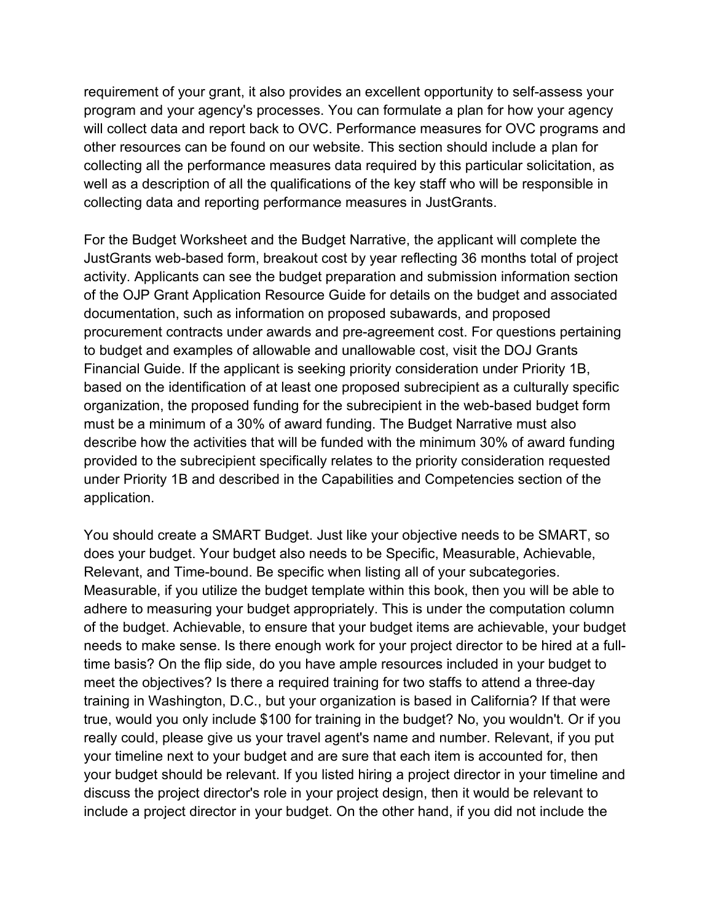collecting all the performance measures data required by this particular solicitation, as collecting data and reporting performance measures in JustGrants. requirement of your grant, it also provides an excellent opportunity to self-assess your program and your agency's processes. You can formulate a plan for how your agency will collect data and report back to OVC. Performance measures for OVC programs and other resources can be found on our website. This section should include a plan for well as a description of all the qualifications of the key staff who will be responsible in

 procurement contracts under awards and pre-agreement cost. For questions pertaining to budget and examples of allowable and unallowable cost, visit the DOJ Grants must be a minimum of a 30% of award funding. The Budget Narrative must also provided to the subrecipient specifically relates to the priority consideration requested under Priority 1B and described in the Capabilities and Competencies section of the application. For the Budget Worksheet and the Budget Narrative, the applicant will complete the JustGrants web-based form, breakout cost by year reflecting 36 months total of project activity. Applicants can see the budget preparation and submission information section of the OJP Grant Application Resource Guide for details on the budget and associated documentation, such as information on proposed subawards, and proposed Financial Guide. If the applicant is seeking priority consideration under Priority 1B, based on the identification of at least one proposed subrecipient as a culturally specific organization, the proposed funding for the subrecipient in the web-based budget form describe how the activities that will be funded with the minimum 30% of award funding

 true, would you only include \$100 for training in the budget? No, you wouldn't. Or if you You should create a SMART Budget. Just like your objective needs to be SMART, so does your budget. Your budget also needs to be Specific, Measurable, Achievable, Relevant, and Time-bound. Be specific when listing all of your subcategories. Measurable, if you utilize the budget template within this book, then you will be able to adhere to measuring your budget appropriately. This is under the computation column of the budget. Achievable, to ensure that your budget items are achievable, your budget needs to make sense. Is there enough work for your project director to be hired at a fulltime basis? On the flip side, do you have ample resources included in your budget to meet the objectives? Is there a required training for two staffs to attend a three-day training in Washington, D.C., but your organization is based in California? If that were really could, please give us your travel agent's name and number. Relevant, if you put your timeline next to your budget and are sure that each item is accounted for, then your budget should be relevant. If you listed hiring a project director in your timeline and discuss the project director's role in your project design, then it would be relevant to include a project director in your budget. On the other hand, if you did not include the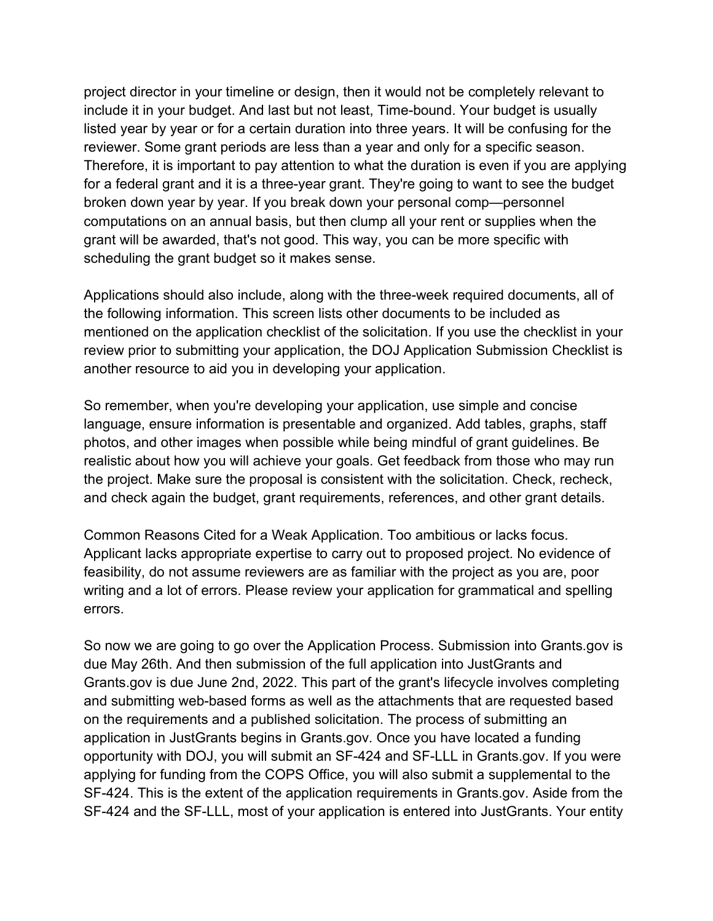broken down year by year. If you break down your personal comp—personnel computations on an annual basis, but then clump all your rent or supplies when the scheduling the grant budget so it makes sense. project director in your timeline or design, then it would not be completely relevant to include it in your budget. And last but not least, Time-bound. Your budget is usually listed year by year or for a certain duration into three years. It will be confusing for the reviewer. Some grant periods are less than a year and only for a specific season. Therefore, it is important to pay attention to what the duration is even if you are applying for a federal grant and it is a three-year grant. They're going to want to see the budget grant will be awarded, that's not good. This way, you can be more specific with

scheduling the grant budget so it makes sense.<br>Applications should also include, along with the three-week required documents, all of another resource to aid you in developing your application. the following information. This screen lists other documents to be included as mentioned on the application checklist of the solicitation. If you use the checklist in your review prior to submitting your application, the DOJ Application Submission Checklist is

 language, ensure information is presentable and organized. Add tables, graphs, staff realistic about how you will achieve your goals. Get feedback from those who may run So remember, when you're developing your application, use simple and concise photos, and other images when possible while being mindful of grant guidelines. Be the project. Make sure the proposal is consistent with the solicitation. Check, recheck,

and check again the budget, grant requirements, references, and other grant details.<br>Common Reasons Cited for a Weak Application. Too ambitious or lacks focus. errors. Applicant lacks appropriate expertise to carry out to proposed project. No evidence of feasibility, do not assume reviewers are as familiar with the project as you are, poor writing and a lot of errors. Please review your application for grammatical and spelling

 due May 26th. And then submission of the full application into JustGrants and applying for funding from the COPS Office, you will also submit a supplemental to the SF-424 and the SF-LLL, most of your application is entered into JustGrants. Your entity So now we are going to go over the Application Process. Submission into [Grants.gov](https://Grants.gov) is [Grants.gov](https://Grants.gov) is due June 2nd, 2022. This part of the grant's lifecycle involves completing and submitting web-based forms as well as the attachments that are requested based on the requirements and a published solicitation. The process of submitting an application in JustGrants begins in [Grants.gov.](https://Grants.gov) Once you have located a funding opportunity with DOJ, you will submit an SF-424 and SF-LLL in [Grants.gov](https://Grants.gov). If you were SF-424. This is the extent of the application requirements in [Grants.gov.](https://Grants.gov) Aside from the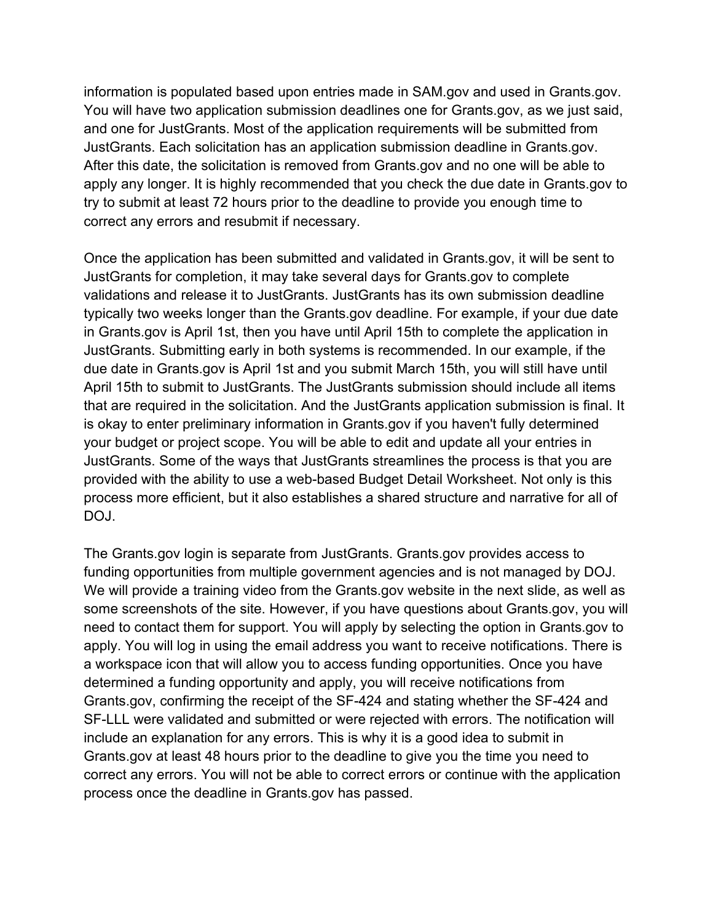You will have two application submission deadlines one for [Grants.gov](https://Grants.gov), as we just said, apply any longer. It is highly recommended that you check the due date in [Grants.gov](https://Grants.gov) to correct any errors and resubmit if necessary. information is populated based upon entries made in SAM.gov and used in [Grants.gov](https://Grants.gov). and one for JustGrants. Most of the application requirements will be submitted from JustGrants. Each solicitation has an application submission deadline in [Grants.gov](https://Grants.gov). After this date, the solicitation is removed from [Grants.gov](https://Grants.gov) and no one will be able to try to submit at least 72 hours prior to the deadline to provide you enough time to

 typically two weeks longer than the [Grants.gov](https://Grants.gov) deadline. For example, if your due date due date in [Grants.gov](https://Grants.gov) is April 1st and you submit March 15th, you will still have until DOJ. Once the application has been submitted and validated in [Grants.gov,](https://Grants.gov) it will be sent to JustGrants for completion, it may take several days for [Grants.gov](https://Grants.gov) to complete validations and release it to JustGrants. JustGrants has its own submission deadline in [Grants.gov](https://Grants.gov) is April 1st, then you have until April 15th to complete the application in JustGrants. Submitting early in both systems is recommended. In our example, if the April 15th to submit to JustGrants. The JustGrants submission should include all items that are required in the solicitation. And the JustGrants application submission is final. It is okay to enter preliminary information in [Grants.gov](https://Grants.gov) if you haven't fully determined your budget or project scope. You will be able to edit and update all your entries in JustGrants. Some of the ways that JustGrants streamlines the process is that you are provided with the ability to use a web-based Budget Detail Worksheet. Not only is this process more efficient, but it also establishes a shared structure and narrative for all of

DOJ.<br>The [Grants.gov](https://Grants.gov) login is separate from JustGrants. [Grants.gov](https://Grants.gov) provides access to determined a funding opportunity and apply, you will receive notifications from include an explanation for any errors. This is why it is a good idea to submit in process once the deadline in [Grants.gov](https://Grants.gov) has passed. funding opportunities from multiple government agencies and is not managed by DOJ. We will provide a training video from the [Grants.gov](https://Grants.gov) website in the next slide, as well as some screenshots of the site. However, if you have questions about [Grants.gov,](https://Grants.gov) you will need to contact them for support. You will apply by selecting the option in [Grants.gov](https://Grants.gov) to apply. You will log in using the email address you want to receive notifications. There is a workspace icon that will allow you to access funding opportunities. Once you have [Grants.gov,](https://Grants.gov) confirming the receipt of the SF-424 and stating whether the SF-424 and SF-LLL were validated and submitted or were rejected with errors. The notification will [Grants.gov](https://Grants.gov) at least 48 hours prior to the deadline to give you the time you need to correct any errors. You will not be able to correct errors or continue with the application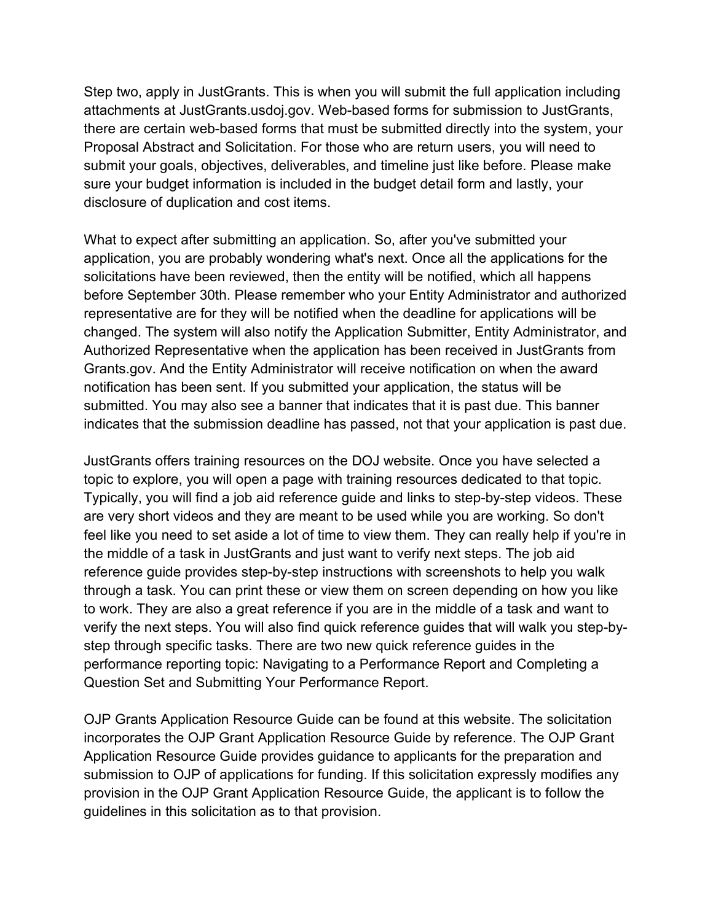there are certain web-based forms that must be submitted directly into the system, your disclosure of duplication and cost items. Step two, apply in JustGrants. This is when you will submit the full application including attachments at [JustGrants.usdoj.gov.](https://JustGrants.usdoj.gov) Web-based forms for submission to JustGrants, Proposal Abstract and Solicitation. For those who are return users, you will need to submit your goals, objectives, deliverables, and timeline just like before. Please make sure your budget information is included in the budget detail form and lastly, your

 What to expect after submitting an application. So, after you've submitted your Authorized Representative when the application has been received in JustGrants from submitted. You may also see a banner that indicates that it is past due. This banner indicates that the submission deadline has passed, not that your application is past due. application, you are probably wondering what's next. Once all the applications for the solicitations have been reviewed, then the entity will be notified, which all happens before September 30th. Please remember who your Entity Administrator and authorized representative are for they will be notified when the deadline for applications will be changed. The system will also notify the Application Submitter, Entity Administrator, and [Grants.gov.](https://Grants.gov) And the Entity Administrator will receive notification on when the award notification has been sent. If you submitted your application, the status will be

 topic to explore, you will open a page with training resources dedicated to that topic. Typically, you will find a job aid reference guide and links to step-by-step videos. These feel like you need to set aside a lot of time to view them. They can really help if you're in the middle of a task in JustGrants and just want to verify next steps. The job aid performance reporting topic: Navigating to a Performance Report and Completing a Question Set and Submitting Your Performance Report. JustGrants offers training resources on the DOJ website. Once you have selected a are very short videos and they are meant to be used while you are working. So don't reference guide provides step-by-step instructions with screenshots to help you walk through a task. You can print these or view them on screen depending on how you like to work. They are also a great reference if you are in the middle of a task and want to verify the next steps. You will also find quick reference guides that will walk you step-bystep through specific tasks. There are two new quick reference guides in the

 incorporates the OJP Grant Application Resource Guide by reference. The OJP Grant guidelines in this solicitation as to that provision. OJP Grants Application Resource Guide can be found at this website. The solicitation Application Resource Guide provides guidance to applicants for the preparation and submission to OJP of applications for funding. If this solicitation expressly modifies any provision in the OJP Grant Application Resource Guide, the applicant is to follow the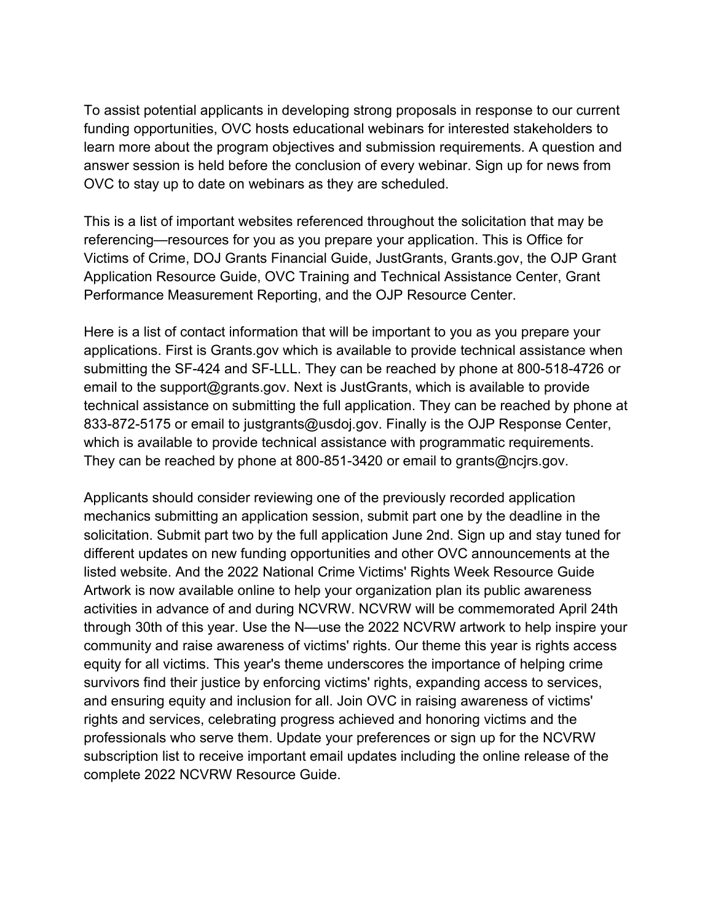OVC to stay up to date on webinars as they are scheduled. To assist potential applicants in developing strong proposals in response to our current funding opportunities, OVC hosts educational webinars for interested stakeholders to learn more about the program objectives and submission requirements. A question and answer session is held before the conclusion of every webinar. Sign up for news from

OVC to stay up to date on webinars as they are scheduled.<br>This is a list of important websites referenced throughout the solicitation that may be Performance Measurement Reporting, and the OJP Resource Center. referencing—resources for you as you prepare your application. This is Office for Victims of Crime, DOJ Grants Financial Guide, JustGrants, [Grants.gov](https://Grants.gov), the OJP Grant Application Resource Guide, OVC Training and Technical Assistance Center, Grant

 technical assistance on submitting the full application. They can be reached by phone at 833-872-5175 or email to [justgrants@usdoj.gov.](mailto:JustGrants@usdoj.gov) Finally is the OJP Response Center, They can be reached by phone at 800-851-3420 or email to grants@ncirs.gov. Here is a list of contact information that will be important to you as you prepare your applications. First is [Grants.gov](https://Grants.gov) which is available to provide technical assistance when submitting the SF-424 and SF-LLL. They can be reached by phone at 800-518-4726 or email to the [support@grants.gov.](mailto:support@grants.gov) Next is JustGrants, which is available to provide which is available to provide technical assistance with programmatic requirements.

 community and raise awareness of victims' rights. Our theme this year is rights access equity for all victims. This year's theme underscores the importance of helping crime complete 2022 NCVRW Resource Guide. Applicants should consider reviewing one of the previously recorded application mechanics submitting an application session, submit part one by the deadline in the solicitation. Submit part two by the full application June 2nd. Sign up and stay tuned for different updates on new funding opportunities and other OVC announcements at the listed website. And the 2022 National Crime Victims' Rights Week Resource Guide Artwork is now available online to help your organization plan its public awareness activities in advance of and during NCVRW. NCVRW will be commemorated April 24th through 30th of this year. Use the N—use the 2022 NCVRW artwork to help inspire your survivors find their justice by enforcing victims' rights, expanding access to services, and ensuring equity and inclusion for all. Join OVC in raising awareness of victims' rights and services, celebrating progress achieved and honoring victims and the professionals who serve them. Update your preferences or sign up for the NCVRW subscription list to receive important email updates including the online release of the